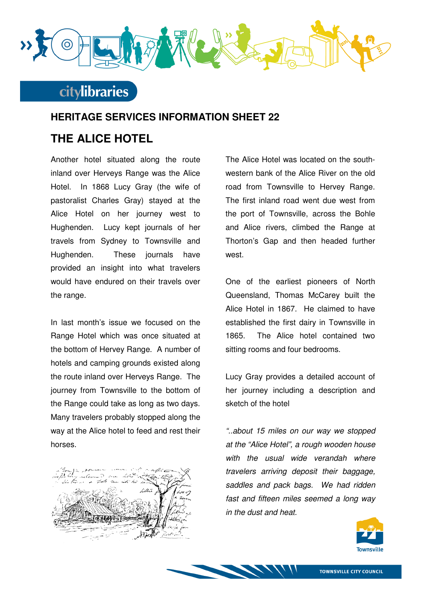

## **citylibraries**

### **HERITAGE SERVICES INFORMATION SHEET 22**

## **THE ALICE HOTEL**

Another hotel situated along the route inland over Herveys Range was the Alice Hotel. In 1868 Lucy Gray (the wife of pastoralist Charles Gray) stayed at the Alice Hotel on her journey west to Hughenden. Lucy kept journals of her travels from Sydney to Townsville and Hughenden. These journals have provided an insight into what travelers would have endured on their travels over the range.

In last month's issue we focused on the Range Hotel which was once situated at the bottom of Hervey Range. A number of hotels and camping grounds existed along the route inland over Herveys Range. The journey from Townsville to the bottom of the Range could take as long as two days. Many travelers probably stopped along the way at the Alice hotel to feed and rest their horses.



The Alice Hotel was located on the southwestern bank of the Alice River on the old road from Townsville to Hervey Range. The first inland road went due west from the port of Townsville, across the Bohle and Alice rivers, climbed the Range at Thorton's Gap and then headed further west.

One of the earliest pioneers of North Queensland, Thomas McCarey built the Alice Hotel in 1867. He claimed to have established the first dairy in Townsville in 1865. The Alice hotel contained two sitting rooms and four bedrooms.

Lucy Gray provides a detailed account of her journey including a description and sketch of the hotel

"..about 15 miles on our way we stopped at the "Alice Hotel", a rough wooden house with the usual wide verandah where travelers arriving deposit their baggage, saddles and pack bags. We had ridden fast and fifteen miles seemed a long way in the dust and heat.